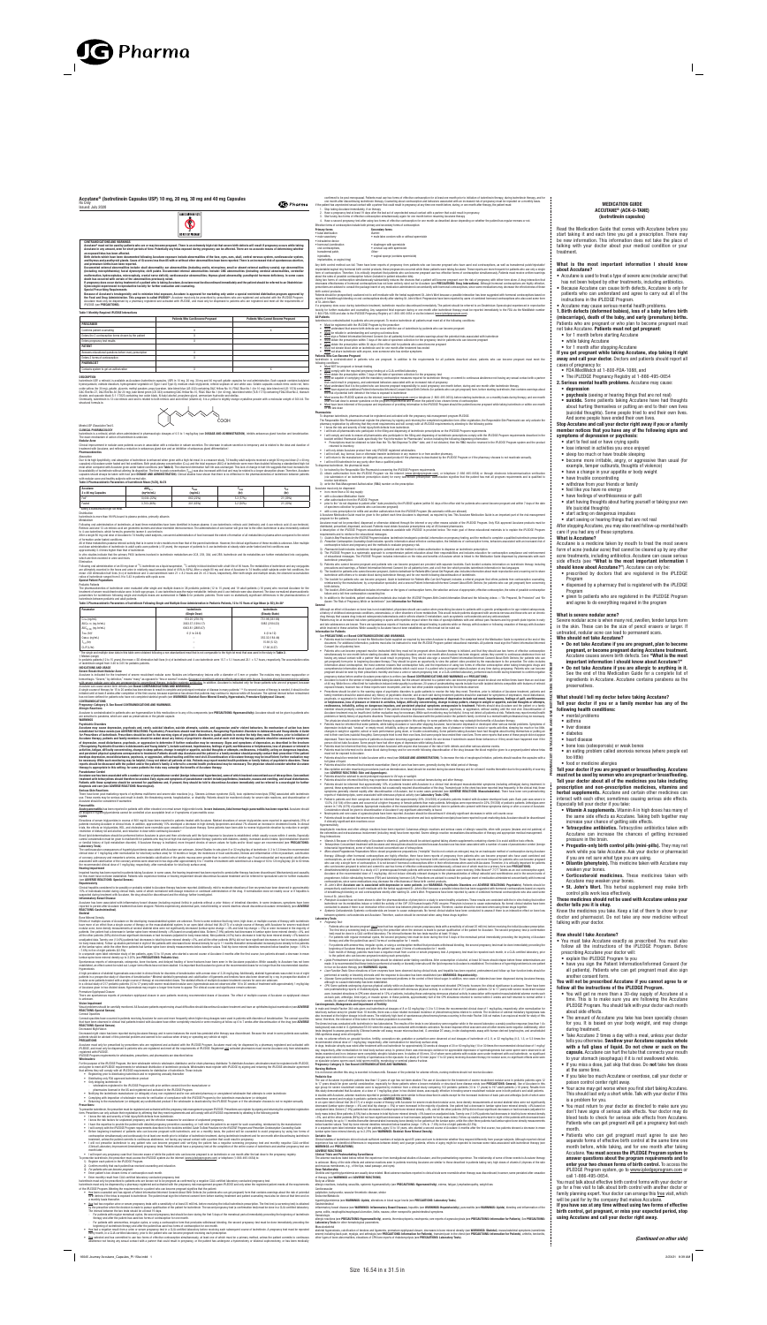MEDICATION GUIDE ACCUTANE® (ACK-U-TANE) (isotretinoin capsules)

Read the Medication Guide that comes with Accutane before you start taking it and each time you get a prescription. There may be new information. This information does not take the place of talking with your doctor about your medical condition or your treatment.

## What is the most important information I should know about Accutane?

- Accutane is used to treat a type of severe acne (nodular acne) that
- has not been helped by other treatments, including antibiotics.
- Because Accutane can cause birth defects, Accutane is only for patients who can understand and agree to carry out all of the instructions in the iPLEDGE Program.
- Accutane may cause serious mental health problems. 1. Birth defects (deformed babies), loss of a baby before birth (miscarriage), death of the baby, and early (premature) births. Patients who are pregnant or who plan to become pregnant must not take Accutane. Patients must not get pregnant:
- for 1 month before starting Accutane
- 
- while taking Accutane
- for 1 month after stopping Accutane

- lose interest in activities you once enjoyed
- sleep too much or have trouble sleeping
- become more irritable, angry, or aggressive than usual (for example, temper outbursts, thoughts of vio

• withdraw from your friends or family • feel like you have no energy

If you get pregnant while taking Accutane, stop taking it right away and call your doctor. Doctors and patients should report all cases of pregnancy to:

- FDA MedWatch at 1-800-FDA-1088, and
- The iPLEDGE Pregnancy Registry at 1-866-495-0654
- 2. Serious mental health problems. Accutane may cause: • depression
- **psychosis** (seeing or hearing things that are not real)
- 
- suicide. Some patients taking Accutane have had thoughts about hurting themselves or putting an end to their own lives (suicidal thoughts). Some people tried to end their own lives. And some people have ended their own lives.

## Stop Accutane and call your doctor right away if you or a family member notices that you have any of the following signs and symptoms of depression or psychosis:

• start to feel sad or have crying spells

• have trouble concentrating

• have a change in your appetite or body weight

• have feelings of worthlessness or guilt

• start having thoughts about hurting yourself or taking your own

life (suicidal thoughts)

• start acting on dangerous impulses

• start seeing or hearing things that are not real

After stopping Accutane, you may also need follow-up mental health

care if you had any of these symptoms.

What is Accutane?

Accutane is a medicine taken by mouth to treat the most severe form of acne (nodular acne) that cannot be cleared up by any other acne treatments, including antibiotics. Accutane can cause serious side effects (see "What is the most important information I

• prescribed by doctors that are registered in the iPLEDGE

Program

• dispensed by a pharmacy that is registered with the iPLEDGE

Program

• given to patients who are registered in the iPLEDGE Program and agree to do everything required in the program

What is severe nodular acne?

Severe nodular acne is when many red, swollen, tender lumps form in the skin. These can be the size of pencil erasers or larger. If

untreated, nodular acne can lead to permanent scars.

Who should not take Accutane?

• Do not take Accutane if you are pregnant, plan to become pregnant, or become pregnant during Accutane treatment. Accutane causes severe birth defects. See "What is the most important information I should know about Accutane?" • Do not take Accutane if you are allergic to anything in it. See the end of this Medication Guide for a complete list of ingredients in Accutane. Accutane contains parabens as the

preservatives.

What should I tell my doctor before taking Accutane?

Tell your doctor if you or a family member has any of the

following health conditions: • mental problems • asthma • liver disease • diabetes • heart disease

• bone loss (osteoporosis) or weak bones

• an eating problem called anorexia nervosa (where people eat

too little)

• food or medicine allergies

Accutane® must not be used by patients who are or may become pregnant. There is an extremely high risk that severe birth defects will result if pregnancy occurs while taking Accutane in any amount, even for short periods of time. Potentially any fetus exposed during pregnancy can be affected. There are no accurate means of determi an exposed fetus has been affected.

> Tell your doctor if you are pregnant or breastfeeding. Accutane must not be used by women who are pregnant or breastfeeding. Tell your doctor about all of the medicines you take including prescription and non-prescription medicines, vitamins and herbal supplements. Accutane and certain other medicines can interact with each other, sometimes causing serious side effects.

Especially tell your doctor if you take:

• Vitamin A supplements. Vitamin A in high doses has many of the same side effects as Accutane. Taking both together may

increase your chance of getting side effects.

• Tetracycline antibiotics. Tetracycline antibiotics taken with Accutane can increase the chances of getting increased

Documented external abnormalities include: skull abnormality; ear abnormalities (including anotia, micropinna, small or absent external auditory canals); eye abnormalities<br>(including microphthalmia); facial dysmorphia; cle (including microphthalmia); facial dysmorphia; cleft palate. Documented internal abnormalities include: CNS abnormalities (including cerebral abnormalities, cerebellar<br>malformation, hydrocephalus, microcephaly, cranial ner death has occurred with certain of the abnormalities previously noted.

If pregnancy does occur during treatment of a patient who is taking Accutane, Accutane must be discontinued immediately and the patient should be referred to an Obstetrician-<br>Gynecologist experienced in reproductive toxici

pressure in the brain.

• Progestin-only birth control pills (mini-pills). They may not work while you take Accutane. Ask your doctor or pharmacist

if you are not sure what type you are using.

• Dilantin (phenytoin). This medicine taken with Accutane may

weaken your bones.

• Corticosteroid medicines. These medicines taken with

Accutane may weaken your bones.

**Special Prescribing Requirement** Because of Accutane's teratogenicity and to minimize fetal exposure, Accutane is approved for marketing only under a special restricted distribution program approved by **the Food and Drug Administration. This program is called iPLEDGE®.** Accutane must only be prescribed by prescribers who are registered and activated with the iPLEDGE Program.<br>Accutane must only be dispensed by a pharmacy iPLEDGE (see PRECAUTIONS).

• St. John's Wort. This herbal supplement may make birth

control pills work less effectively.

should know about Accutane?"). Accutane can only be:

meal when compared with Accutane given under fasted conditions (see **Table 2**). The observed elimination half-life was unchanged. This lack of change in half-life suggests that food increases the<br>bioavailability of isotret capsules should always be taken with food (see DOSAGE AND ADMINISTRATION). Clinical studies have shown that there is no difference in the pharmacokinetics of isotretinoin between patients

with nodular acne and healthy subjects with normal skin.<br>**Table 2 Pharmacokinetic Parameters of Isotretinoin Mean (%CV), N=74** 

These medicines should not be used with Accutane unless your

doctor tells you it is okay.

Know the medicines you take. Keep a list of them to show to your doctor and pharmacist. Do not take any new medicine without

talking with your doctor.

## How should I take Accutane?

- You must take Accutane exactly as prescribed. You must also follow all the instructions of the iPLEDGE Program. Before prescribing Accutane your doctor will:
- explain the iPLEDGE Program to you
- have you sign the Patient Information/Informed Consent (for
- all patients). Patients who can get pregnant must also sign another consent form.

Isotretinoin USP, a retinoid, is available as Accutane (isotretinoin capsules, USP) in 10 mg, 20 mg, 30 mg and 40 mg soft gelatin capsules for oral administration. Each capsule contains butyla hydroxyanisole, edetate disodium, hydrogenated vegetable oil (Type-I and Type-II), medium chain triglyceride, refined soybean oil and white wax. Gelatin capsules contain ferric oxide red, ferric<br>oxide yellow (for 30 mg), g dioxide, and opacode black S-1-17823 containing iron oxide black, N-butyl alcohol, propylene glycol, ammonium hydroxide and shellac.

## You will not be prescribed Accutane if you cannot agree to or follow all the instructions of the iPLEDGE Program.

Isotretinoin is a retinoid, which when administered in pharmacologic dosages of 0.5 to 1 mg/kg/day (see DOSAGE AND ADMINISTRATION), inhibits sebaceous gland function and keratinization The exact mechanism of action of isotretinoin is unknown.

- You will get no more than a 30-day supply of Accutane at a time. This is to make sure you are following the Accutane iPLEDGE Program. You should talk with your doctor each month about side effects.
- The amount of Accutane you take has been specially chosen for you. It is based on your body weight, and may change during treatment.
- Take Accutane 2 times a day with a meal, unless your doctor tells you otherwise. Swallow your Accutane capsules whole with a full glass of liquid. Do not chew or suck on the capsule. Accutane can hurt the tube that connects your mouth to your stomach (esophagus) if it is not swallowed whole.
- If you miss a dose, just skip that dose. Do not take two doses at the same time.
- If you take too much Accutane or overdose, call your doctor or poison control center right away.
- Your acne may get worse when you first start taking Accutane. This should last only a short while. Talk with your doctor if this is a problem for you.
- You must return to your doctor as directed to make sure you don't have signs of serious side effects. Your doctor may do blood tests to check for serious side effects from Accutane. Patients who can get pregnant will get a pregnancy test each month.
- Patients who can get pregnant must agree to use two separate forms of effective birth control at the same time one month before, while taking, and for one month after taking Accutane. You must access the iPLEDGE Program system to answer questions about the program requirements and to enter your two chosen forms of birth control. To access the iPLEDGE Program system, go to www.ipledgeprogram.com or call 1-866-495-0654.

Following oral administration of isotretinoin, at least three metabolites have been identified in human plasma: 4-*oxo*-isotretinoin, retinoic acid (tretinoin), and 4-*oxo*-retinoic acid (4-*oxo*-tretinoin). Retinoic acid and 13-*cis*-retinoic acid are geometric isomers and show reversible interconversion. The administration of one isomer will give rise to the other. Isotretinoin is also irreversibly oxidized<br>to 4-*oxo*-isotre

After a single 80 mg oral dose of Accutane to 74 healthy adult subjects, concurrent administration of food increased the extent of formation of all metabolites in plasma when compared to the extent of formation under fasted conditions.

approximately 3.4 times higher than that of isotretinoin. In vitro studies indicate that the primary P450 isoforms involved in isotretinoin metabolism are 2C8, 2C9, 3A4, and 2B6. Isotretinoin and its metabolites are further metabolized into conjugates

which are then excreted in urine and feces

Elimination Following oral administration of an 80 mg dose of <sup>14</sup>C-isotretinoin as a liquid suspension, <sup>14</sup>C-activity in blood declined with a half-life of 90 hours. The metabolites of isotretinoin and any conjugates<br>are ultimately mean ±SD elimination half-lives (t<sub>1/2</sub>) of isotretinoin and 4-*oxo*-isotretinoin were 21 ± 8.2 hours and 24 ±5.3 hours, respectively. After both single and multiple doses, the observed accumulation<br>ratios of isotretinoin

> You must talk about effective birth control forms with your doctor or go for a free visit to talk about birth control with another doctor or family planning expert. Your doctor can arrange this free visit, which will be paid for by the company that makes Accutane.

If you have sex at any time without using two forms of effective birth control, get pregnant, or miss your expected period, stop

using Accutane and call your doctor right away.



### Accutane® (Isotretinoin Capsules USP) 10 mg, 20 mg, 30 mg and 40 mg Capsules Rx Only

Issued: July 2020



CONTRAINDICATIONS AND WARNINGS

The pharmacokinetics of isotretinoin were evaluated after single and multiple doses in 38 pediatric patients (12 to 15 years) and 19 adult patients (>18 years) who received Accutane for the treatment of severe recalcitrant nodular acne. In both age groups, 4-*ox*o-isotretinoin was the major metabolite; tretinoin and 4-*oxo*-tretinoin were also observed. The dose-normalized pharmacokinetic<br>parameters for isotr isotretinoin between pediatric and adult patients.

#### Table 3 Pharmacokinetic Parameters of Isotretinoin Following Single and Multiple Dose Administration in Pediatric Patients, 12 to 15 Years of Age Mean (± SD), N=38

\* The single and multiple dose data in this table were obtained following a non-standardized meal that is not comparable to the high-fat meal that was used in the study in Table 2. † Median (range)

In pediatric patients (12 to 15 years), the mean  $\pm$  SD elimination half-lives ( $t_{1/2}$ ) of isotretinoin and 4-*oxo*-isotretinoin were 15.7  $\pm$  5.1 hours and 23.1  $\pm$  5.7 hours, respectively. The accumulation ratios of isotretinoin ranged from 0.46 to 3.65 for pediatric patients. INDICATIONS AND USAGE

Birth defects which have been documented following Accutane exposure include abnormalities of the face, eyes, ears, skull, central nervous system, cardiovascular system, and thymus and parathyroid glands. Cases of IQ scores less than 85 with or without other abnormalities have been reported. There is an increased risk of spontaneous abortion, and premature births have been reported.

**Allergic Reactions**<br>Accutane is contraindicated in patients who are hypersensitive to this medication or to any of its components (see **PRECAUTIONS: Hypersensitivity**). Accutane should not be given to patients who are sensitive to parabens, which are used as preservatives in the gelatin capsule.

### Table 1 Monthly Required iPLEDGE Interactions

|                                                         | <b>Patients Who Can Become Pregnant</b> | <b>Patients Who Cannot Become Pregnant</b> |
|---------------------------------------------------------|-----------------------------------------|--------------------------------------------|
| <b>PRESCRIBER</b>                                       |                                         |                                            |
| Confirms patient counseling                             | $\lambda$                               |                                            |
| Enters the 2 contraception forms chosen by the patient  |                                         |                                            |
| Enters pregnancy test results                           | $\checkmark$<br>∧                       |                                            |
| <b>PATIENT</b>                                          |                                         |                                            |
| Answers educational questions before every prescription |                                         |                                            |
| Enters 2 forms of contraception                         | $\checkmark$<br>∧                       |                                            |
| <b>PHARMACIST</b>                                       |                                         |                                            |
| Contacts system to get an authorization                 |                                         |                                            |

#### DESCRIPTION

There have been post-marketing reports of erythema multiforme and severe skin reactions [e.g., Stevens-Johnson syndrome (SJS), toxic epidermal necrolysis (TEN)] associated with isotretinoin<br>use. These events may be serious Accutane should be considered if warranted.

Elevations of serum triglycerides in excess of 800 mg/dL have been reported in patients treated with Accutane. Marked elevations of serum triglycerides were reported in approximately 25% of<br>patients receiving Accutane in c trials, the effects on triglycerides, HDL, and cholesterol were reversible upon cessation of Accutane therapy. Some patients have been able to reverse triglyceride elevation by reduction in weight, restriction of dietary fat and alcohol, and reduction in dose while continuing Accutane.5

Chemically, isotretinoin is 13-cis-retinoic acid and is related to both retinoic acid and retinol (vitamin A). It is a yellow to slightly orange crystalline powder with a molecular weight of 300.44. The structural formula is:

#### Meets USP *Dissolution* Test 5. CLINICAL PHARMACOLOGY

Blood lipid determinations should be performed before Accutane is given and then at intervals until the lipid response to Accutane is established, which usually occurs within 4 weeks. Especially careful consideration must be given to risk/benefit for patients who may be at high risk during Accutane therapy (patients with diabetes, obesity, increased alcohol intake, lipid metabolism disorder or familial history of lipid metabolism disorder). If Accutane therapy is instituted, more frequent checks of serum values for lipids and/or blood sugar are recommended (see PRECAUTIONS: Laboratory Tests).

The cardiovascular consequences of hypertriglyceridemia associated with Accutane are unknown. *Animal Studies:* In rats given 8 or 32 mg/kg/day of isotretinoin (1.3 to 5.3 times the recommended<br>clinical dose of 1 mg/kg/day of coronary, pulmonary and mesenteric arteries, and metastatic calcification of the gastric mucosa were greater than in control rats of similar age. Focal endocardial and myocardial calcifications<br>associated with calcifica

Nodular Acne

Clinical improvement in nodular acne patients occurs in association with a reduction in sebum secretion. The decrease in sebum secretion is temporary and is related to the dose and duration of treatment with Accutane, and reflects a reduction in sebaceous gland size and an inhibition of sebaceous gland differentiation . Pharmacokinetics

### Absorption

Due to its high lipophilicity, oral absorption of isotretinoin is enhanced when given with a high-fat meal. In a crossover study, 74 healthy adult subjects received a single 80 mg oral dose (2 x 40 mg capsules) of Accutane under fasted and fed conditions. Both peak plasma concentration ( $C<sub>max</sub>$ ) and the total exposure (AUC) of isotretinoin were more than doubled following a standardized to

Clinical hepatitis considered to be possibly or probably related to Accutane therapy has been reported. Additionally, mild to moderate elevations of liver enzymes have been observed in approximately<br>15% of individuals trea suspected during treatment with Accutane, the drug should be discontinued and the etiology further investigated.

Inflammatory Bowel Disease<br>Accutane has been associated with inflammatory bowel disease (including regional ileitis) in patients without a prior bistory of intestinal disorders. In some instances, symptoms have been Accutane has been associated with inflammatory bowel disease (including regional ileitis) in patients without a prior history of intestinal disorders. In some instances, symptoms have been<br>reported to persist after Accutan

| Accutane<br>2 x 40 mg Capsules        | $AUC_{0-\infty}$<br>(nq <sub>o</sub> hr/mL) | $\mathbf{v}_{\text{max}}$<br>(nq/mL) | " max<br>(hr) | 1/2<br>(hr) |
|---------------------------------------|---------------------------------------------|--------------------------------------|---------------|-------------|
| Fed*                                  | 10.004 (22%)                                | 862 (22%)                            | 5.3 (77%)     | 21 (39%)    |
| Fasted                                | 3.703 (46%)                                 | 301 (63%)                            | 3.2(56%)      | 21 (30%)    |
| * Eating a standardized high-fat meal |                                             |                                      |               |             |

Distribution

patients. One patient had a decrease in lumbar spine bone mineral density >4% based on unadjusted data. Sixteen (7.9%) patients had decreases in lumbar spine bone mineral density >4%, and<br>all the other patients (92%) did n for body mass index). Follow-up studies performed in eight of the patients with decreased bone mineral density for up to 11 months thereafter demonstrated increasing bone density in five patients at the lumbar spine, while the other three patients had lumbar spine bone density measurements below baseline values. Total hip bone mineral densities remained below baseline (range –1.6% to –7.6%) in five of eight patients (62.5%).

In a separate open-label extension study of ten patients, ages 13 to 18 years, who started a second course of Accutane 4 months after the first course, two patients showed a decrease in mean<br>Iumbar spine bone mineral densi

Isotretinoin is more than 99.9% bound to plasma proteins, primarily albumin.

Metabolism

A high prevalence of skeletal hyperostosis was noted in clinical trials for disorders of keratinization with a mean dose of 2.24 mg/kg/day. Additionally, skeletal hyperostosis was noted in six of eight patients in a prospective study of disorders of keratinization.® Minimal skeletal hyperostosis and calcification of ligaments and tendons have also been observed by x-ray in prospective studies of<br>nodular acne patients tre

In a clinical study of 217 pediatric patients (12 to 17 years) with severe recalcitrant nodular acne, hyperostosis was not observed after 16 to 20 weeks of treatment with approximately 1 mg/kg/day<br>of Accutane given in two Premature Epiphyseal Closure

All of these metabolites possess retinoid activity that is in some in vitro models more than that of the parent isotretinoin. However, the clinical significance of these models is unknown. After multiple oral dose administration of isotretinoin to adult cystic acne patients (≥18 years), the exposure of patients to 4-*oxo*-isotretinoin at steady-state under fasted and fed conditions was

Visual problems should be carefully monitored. All Accutane patients experiencing visual difficulties should discontinue Accutane treatment and have an ophthalmological examination (see ADVERSE) REACTIONS: Special Senses).

Accutane must only be prescribed by prescribers who are registered and activated with the iPLEDGE Program. Accutane must only be dispensed by a pharmacy registered and activated with<br>iPLEDGE, and must only be dispensed to registered with iPLEDGE.

#### Special Patient Populations

Pediatric Patients

| Parameter                          | Isotretinoin      | Isotretinoin    |
|------------------------------------|-------------------|-----------------|
|                                    | (Single Dose)     | (Steady-State)  |
| $C_{\text{max}}$ (ng/mL)           | 573.25 (278.79)   | 731.98 (361.86) |
| $AUC_{(0-12)}$ (ng - hr/mL)        | 3033.37 (1394.17) | 5082 (2184.23)  |
| AUC $(0-24)$ (ng $\cdot$ hr/mL)    | 6003.81 (2885.67) |                 |
| $T_{\text{max}}$ (hr) <sup>†</sup> | 6 (1 to 24.6)     | 4 (0 to 12)     |
| $Css_{min}$ (ng/mL)                |                   | 352.32 (184.44) |
| $T_{1/2}$ (hr)                     | -                 | 15.69 (5.12)    |
| $CL/F$ ( $L/hr$ )                  |                   | 17.96 (6.27)    |

- I know the risk and severity of fetal injury/birth defects from isotretinoin.
- I know the risk factors for unplanned pregnancy and the effective measures for avoidance of unplanned pregnancy.
- I have the expertise to provide the patient with detailed pregnancy prevention counseling, or I will refer the patient to an expert for such counseling, reimbursed by the manufacturer.
- I will comply with the iPLEDGE Program requirements described in the booklets entitled *Guide To Best Practices for the iPLEDGE Program and Prescriber Contraception Counseling Guide.*
- Before beginning treatment of patients who can become pregnant with isotretinoin, and on a monthly basis, the patient will be counseled to avoid pregnancy by using two forms of contraception simultaneously and continuously for at least one month prior to initiation of isotretinoin treatment, during isotretinoin treatment and for one month after discontinuing isotretinoin
- treatment, unless the patient commits to continuous abstinence, not having any sexual contact with a partner that could result in pregnancy.<br>I will not prescribe isotretinoin to any patient who can become pregnant until ve (Clinical Laboratory Improvement Amendment) pregnancy tests. Patients should have a pregnancy test at the completion of the entire course of isotretinoin and another pregnancy test one month later. • I will report any pregnancy case that I become aware of while the patient who can become pregnant is on isotretinoin or one month after the last dose to the pregnancy registry.

- 1) Register each patient in the iPLEDGE Program.
- 2) Confirm monthly that each patient has received counseling and education.
- 
- 3) *For patients who can become pregnant:* Enter patient's two chosen forms of contraception each month.
- Enter monthly result from CLIA-certified laboratory conducted pregnancy test.

Isotretinoin must only be prescribed to patients who are known not to be pregnant as confirmed by a negative CLIA-certified laboratory conducted pregnancy test. Isotration of the dispensed by a pharmacy registered and activated with the pregnancy risk management program iPLEDGE and only when the registered patient meets all the requirements of the registered patient meets all the

## Severe Recalcitrant Nodular Acne

# Accutane is indicated for the treatment of severe recalcitrant nodular acne. Nodules are inflammatory lesions with a diameter of 5 mm or greater. The nodules may become suppurative or hemorrhagic. "Severe," by definition,<sup>2</sup> means "many" as opposed to "few or several" nodules. <u>Because of significant adverse effects associated with its use. Accutane should be reserved for patients<br><u>with severe nodular a</u></u>

A single course of therapy for 15 to 20 weeks has been shown to result in complete and prolonged remission of disease in many patients.<sup>1,3,4</sup> If a second course of therapy is needed, it should not be initiated until at least 8 weeks after completion of the first course, because experience has shown that patients may continue to improve while off Accutane. The optimal interval before retreatment has not been defined for patients who have not completed skeletal growth (see WARNINGS: Skeletal: Bone Mineral Density, Hyperostosis, Premature Epiphyseal Closure). CONTRAINDICATIONS

## Pregnancy: Category X. See Boxed CONTRAINDICATIONS AND WARNINGS.

confirmed to be post-menopausal. Patients must use two forms of effective contraception for at least one month prior to initiation of isotretinoin therapy, during isotretinoin therapy, and for one month after discontinuing isotretinoin therapy. Counseling about contraception and behaviors associated with an increased risk of pregnancy must be repeated on a monthly basis.<br>If the patient has unprotected sexual con **G** Pharma 1. Stop taking Accutane immediately, if on therapy

Have a pregnancy test at least 19 days after the last act of unprotected sexual contact with a partner that could result in pregnancy.

#### WARNINGS

• male vasectomy • male latex condom with or without spermicide • intrauterine device

Psychiatric Disorders

• hormonal (combination • diaphragm with spermicide

oral contraceptives,  $\bullet$  cervical cap with spermicide transdermal patch, *Other:*

injectables,  $\bullet$  vaginal sponge (contains spermicide

Any birth control method can fail. There have been reports of pregnancy from patients who can become pregnant who have used oral contraceptives, as well as transdermal patch/injectable/<br>implantable/vaginal ring hormonal bi form of contraception. Therefore, it is critically important that patients who can become pregnant use two effective forms of contraception simultaneously. Patients must receive written warnings about the rates of possible contraception failure (included in patient education kits).

Using two forms of contraception simultaneously substantially reduces the chances that a patient will become pregnant over the risk of pregnancy with either form alone. A drug interaction that decreases effectiveness of hormonal contraceptives has not been entirely ruled out for Accutane (see PRECAUTIONS: Drug Interactions). Although hormonal contraceptives are highly effective prescribers are advised to consult the package insert of any medication administered concomitantly with hormonal contraceptives, since some medications may decrease the effectiveness of these birth control products.

Patients should be prospectively cautioned not to self-medicate with the herbal supplement St. John's Wort because a possible interaction has been suggested with hormonal contraceptives based on reports of breakthrough bleeding on oral contraceptives shortly after starting St. John's Wort. Pregnancies have been reported by users of combined hormonal contraceptives who also used some form of St. John's Wort.

Accutane may cause depression, psychosis and, rarely, suicidal ideation, suicide attempts, suicide, and aggressive and/or violent behaviors. No mechanism of action has been established for these events (see ADVERSE REACTIONS: Psychiatric). Prescribers should read the brochure, *Recognizing Psychiatric Disorders in Adolescents and Young Adults: A Guide*<br>*for Prescribers of Isotretinoin.* Presc of depression, mood disturbance, psychosis, or aggression to determine if further evaluation may be necessary. Signs and symptoms of depression, as described in the brochure<br>«"Recognizing Psychiatric Disorders in Adolescen develops depression, mood disturbance, psychosis, or aggression, without waiting until the next visit. Discontinuation of Accutane therapy may be insufficient; further evaluation may<br>be necessary. While such monitoring may therapy is appropriate in this setting; for some patients the risks may outweigh the benefits of Accutane therapy.

If a pregnancy does occur during isotretinoin treatment, isotretinoin must be discontinued immediately. The patient should be referred to an Obstetrician-Gynecologist experienced in reproductive<br>toxicity for further evalua 1-800-FDA-1088 and also to the iPLEDGE Pregnancy Registry at 1-866-495-0654 or via the internet (www.ipledgeprogram.com).

- Isotretinoin is contraindicated in patients who are pregnant. To receive isotretinoin all patients must meet all of the following conditions:
- Must be registered with the iPLEDGE Program by the prescribe • Must understand that severe birth defects can occur with the use of isotretinoin by patients who can become pregnant
- **Must** be reliable in understanding and carrying out instructions
- Must sign a Patient Information/Informed Consent (for all patients) form that contains warnings about the potential risks associated with isotretinoin
- Must obtain the prescription within 7 days of the date of specimen collection for the pregnancy test for patients who can become pregnant
- Must obtain the prescription within 30 days of the office visit for patients who cannot become pregnant
- **Must** not donate blood while on isotretinoin and for one month after treatment has ended
- Must not share isotretinoin with anyone, even someone who has similar symptoms

### Pseudotumor Cerebri

Accutane use has been associated with a number of cases of pseudotumor cerebri (benign intracranial hypertension), some of which involved concomitant use of tetracyclines. Concomitant<br>treatment with tetracyclines should th osis and care (see ADVERSE REACTIONS: Neurologie

## Serious Skin Reactions

#### Pancreatitis

Acute pancreatitis has been reported in patients with either elevated or normal serum triglyceride levels. In rare instances, fatal hemorrhagic pancreatitis has been reported. Accutane should -<br>htriglyceridemia cannot be controlled at an acceptable level or if symptoms of pancreatitis occur.

#### Lipids

- 1) *Guide to Best Practices for the iPLEDGE Program* includes: isotretinoin teratogenic potential, information on pregnancy testing, and the method to complete a qualified isotretinoin prescription. Prescriber Contraception Counseling Guide includes: specific information about effective contraception, the limitations of contraceptive forms, behaviors associated with an increased risk of
- 
- contraceptive failure and pregnancy and the methods to evaluate pregnancy risk.<br>3) *Pharmacist Guide* includes: isotretinoin teratogenic potential and the method to obtain authorization to dispense an isotretinoin prescr
- The iPLEDGE Program is a systematic approach to comprehensive patient education about their responsibilities and includes education for contraception compliance and reinforcement<br>of educational messages. The iPLEDGE Progra isotretinoin prescription.
- 5) Patients who cannot become pregnant and patients who can become pregnant are provided with separate booklets. Each booklet contains information on isotretinoin therapy including precautions and warnings, a Patient Information/Informed Consent (for all patients) form, and a toll-free line which provides isotretinoin information in two languages.
- 6) The booklet for patients who cannot become pregnant, *Guide to Isotretinoin for Patients Who Cannot Get Pregnant,* also includes information about male reproduction and a warning not to share<br>isotretinoin with others or
- 7) The booklet for patients who can become pregnant, *Guide to Isotretinoin for Patients Who Can Get Pregnant,* includes a referral program that offers patients free contraception counseling, reimbursed by the manufacturer, by a reproductive specialist; and a second Patient Information/Informed Consent About Birth Defects (for patients who can get pregnant) form concerning
- birth defects. 8) The booklet, *Birth Control Workbook* includes information on the types of contraceptive forms, the selection and use of appropriate, effective contraception, the rates of possible contraceptive
- failure and a toll-free contraception counseling line. 9) In addition to the booklets, patient educational materials also include the *iPLEDGE Program Birth Control Information Sheet* and the following videos —"Be Prepared, Be Protected" and "Be Aware: The Risk of Pregnancy While on Isotretinoin" (see Information for Patient

#### Hearing Impairment

Impaired hearing has been reported in patients taking Accutane; in some cases, the hearing impairment has been reported to persist after therapy has been discontinued. Mechanism(s) and causality for this event have not been established. Patients who experience tinnitus or hearing impairment should discontinue Accutane treatment and be referred for specialized care for further evaluation (see ADVERSE REACTIONS: Special Senses).

Patients may be at increased risk when participating in sports with repetitive impact where the risks of spondylolisthesis with and without pars fractures and hip growth plate injuries in early and late adolescence are known. There are spontaneous reports of fractures and/or delayed healing in patients while on therapy with Accutane or following cessation of therapy with Accutane while involved in these activities. While causality to Accutane has not been established, an effect must not be ruled out. Information for Patients

#### See PRECAUTIONS and Boxed CONTRAINDICATIONS AND WARNINGS.

• Patients must be instructed to read the Medication Guide supplied as required by law when Accutane is dispensed. The complete text of the Medication Guide is reprinted at the end of this document. For additional information, patients must also be instructed to read the iPLEDGE Program patient educational materials. All patients must sign the Patient Inform onsent (for all patients) form.

• Patients who can become pregnant must be instructed that they must not be pregnant when Accutane therapy is initiated, and that they should use two forms of effective contraception simultaneously for one month before starting Accutane, while taking Accutane, and for one month after Accutane has been stopped, unless they commit to continuous abstinence from not<br>having any sexual contact with a partner get pregnant) form prior to beginning Accutane therapy. They should be given an opportunity to view the patient video provided by the manufacturer to the prescriber. The video includes<br>information about contraception, the

Accutane is found in the semen of male patients taking Accutane, but the amount delivered to a patient who can become pregnant would be about one million times lower than an oral dose of 40 mg. While the no-effect limit fo

#### Hepatotoxicity

## Skeletal

Bone Mineral Density

Effects of multiple courses of Accutane on the developing musculoskeletal system are unknown. There is some evidence that long-term, high-dose, or multiple courses of therapy with isotretinoin have more of an effect than a single course of therapy on the musculoskeletal system. In an open-label clinical trial (N=217) of a single course of therapy with Accutane for severe recalcitrant<br>nodular acne, bone density m

Spontaneous reports of osteoporosis, osteopenia, bone fractures, and delayed healing of bone fractures have been seen in the Accutane population. While causality to Accutane has not been established, an effect cannot be ruled out. Longer term effects have not been studied. It is important that Accutane be given at the recommended doses for no longer than the recommended duration. Hyperostosis

- Prescribers should be alert to the warning signs of psychiatric disorders to quide patients to receive the help they need. Therefore, prior to initiation of Accutane treatment, patients and family members should be asked about any history of psychiatric disorder, and at each visit during treatment patients should be assessed for symptoms of depression, mood disturbance,<br>psychosis, or aggression to determine i
- or helplessness, loss of pleasure or interest in activities, fatigue, difficulty concentrating, change in sleep pattern, change in weight or appetite, suicidal thoughts or attempts,<br>restlessness, irritability, acting on da Accutane treatment may be insufficient; further evaluation may be necessary. While such monitoring may be helpful, it may not detect all patients at risk. Patients may report mental health<br>problems or family history of psy The physician should consider whether Accutane therapy is appropriate in this setting; for some patients the risks may outweigh the benefits of Accutane therapy.
- PHARMACIST-DETACH HERE AND GIVE INSTRUCTIONS TO PATIENT • Patients must be informed that some patients, while taking Accutane or soon after stopping Accutane, have become depressed or developed other serious mental problems. Symptoms of depression include sad, "anxious" or empty mood, irritability, acting on dangerous impulses, anger, loss of pleasure or interest in social or sports activities, sleeping too much or too little, changes in weight or appetite, school or work performance going down, or trouble concentrating. Some patients taking Accutane have had thoughts about hurting themselves or putting an<br>end to their own lives (suicidal though depressed. There have been reports of patients on Accutane becoming aggressive or violent. No one knows if isotretinoin caused these behaviors or if they would have happened even if the<br>person did not take Accutane. Some p
- Patients must be informed that they must not share Accutane with anyone else because of the risk of birth defects and other serious adverse events.
- Patients must be informed not to donate blood during therapy and for one month following discontinuation of the drug because the blood might be given to a pregnant patient whose fetus must not be exposed to Accutane.
- Patients should be reminded to take Accutane with a meal (see DOSAGE AND ADMINISTRATION). To decrease the risk of esophageal irritation, patients should swallow the capsules with a full glass of liquid.
- Patients should be informed that transient exacerbation (flare) of acne has been seen, generally during the initial period of therapy.
- Wax epilation and skin resurfacing procedures (such as dermabrasion, laser) should be avoided during Accutane therapy and for at least 6 months thereafter due to the possibility of scarring (see ADVERSE REACTIONS: Skin and Appendages).
- Patients should be advised to avoid prolonged exposure to UV rays or sunlight.
- Patients should be informed that they may experience decreased tolerance to contact lenses during and after therapy. Patients should be informed that approximately 16% of patients treated with Accutane in a clinical trial developed musculoskeletal symptoms (including arthralgia) during treatment. In general, these symptoms were mild to moderate, but occasionally required discontinuation of the drug. Transient pain in the chest has been reported less frequently. In the clinical trial, these<br>symptoms generally cleared r reports of rhabdomyolysis, some associated with strenuous physical activity (see Laboratory Tests: CPK).
- Pediatric patients and their caregivers should be informed that approximately 29% (104/358) of pediatric patients treated with Accutane developed back pain. Back pain was severe in 13.5% (14/104) of the cases and occurred at a higher frequency in female patients than male patients. Arthralgias were experienced in 22% (79/358) of pediatric patients. Arthralgias were severe in 7.6% (6/79) of patients. Appropriate evaluation of the musculoskeletal system should be done in patients who present with these symptoms during or after a course of Accutane.
- Consideration should be given to discontinuation of Accutane if any significant abnormality is found. Neutropenia and rare cases of agranulocytosis have been reported. Accutane should be discontinued if clinically significant decreases in white cell counts occur.
- Patients should be advised that severe skin reactions (Stevens-Johnson syndrome and toxic epidermal necrolysis) have been reported in post-marketing data. Accutane should be discontinued if clinically significant skin reactions occur.

There are spontaneous reports of premature epiphyseal closure in acne patients receiving recommended doses of Accutane. The effect of multiple courses of Accutane on epiphyseal closure is unknown. Vision Impairment

#### Corneal Opacities

Corneal opacities have occurred in patients receiving Accutane for acne and more frequently when higher drug dosages were used in patients with disorders of keratinization. The corneal opacities that have been observed in clinical trial patients treated with Accutane have either completely resolved or were resolving at follow-up 6 to 7 weeks after discontinuation of the drug (see ADVERSE REACTIONS: Special Senses).

#### Decreased Night Vision

Decreased night vision has been reported during Accutane therapy and in some instances the event has persisted after therapy was discontinued. Because the onset in some patients was sudden, patients should be advised of this potential problem and warned to be cautious when driving or operating any vehicle at nigh

#### PRECAUTIONS

iPLEDGE Program requirements for wholesalers, prescribers, and pharmacists are described below:

#### **Wholesalers**

For the purpose of the iPLEDGE Program, the term wholesaler refers to wholesaler, distributor, and/or chain pharmacy distributor. To distribute Accutane, wholesalers must be registered with iPLEDGE, and agree to meet all iPLEDGE requirements for wholesale distribution of isotretinoin products. Wholesalers must register with iPLEDGE by signing and returning the iPLEDGE wholesaler agreement<br>that affirms they will comply

- 
- Registering prior to distributing isotretinoin and re-registering annually thereafter • Distributing only FDA approved isotretinoin product
- Only shipping isotretinoin to
- wholesalers registered in the iPLEDGE Program with prior written consent from the manufacturer or
- pharmacies licensed in the US and registered and activated in the iPLEDGE Program
- Notifying the isotretinoin manufacturer (or delegate) of any non-registered and/or non-activated pharmacy or unregistered wholesaler that attempts to order isotretinoin<br>● Complying with inspection of wholesaler records

- Patients who can become pregnant <u>must</u> have had two negative urine or serum pregnancy tests with a sensitivity of at least 25 mIU/mL before receiving the initial Accutane prescription.<br>The first test (a screening test) test) must be done in a CLIA-certified laboratory. The interval between the two tests must be at least 19 days. - For patients with regular menstrual cycles, the second pregnancy test must be done during the first 5 days of the menstrual period immediately preceding the beginning of Accutane therapy and after the patient has used 2 forms of contraception for 1 month. - For patients with amenorrhea, irregular cycles, or using a contraceptive method that precludes withdrawal bleeding, the second pregnancy test must be done immediately preceding the<br>beginning of Accutane therapy and after Each month of therapy, patients must have a negative result from a urine or serum pregnancy test. A pregnancy test must be repeated each month, in a CLIA-certified laboratory, prior to the patient who can become pregnant receiving each prescription.

#### Prescribers:

To prescribe isotretinoin, the prescriber must be registered and activated with the pregnancy risk management program iPLEDGE. Prescribers can register by signing and returning the completed registration<br>form. Prescribers

tumor; therefore, the relevance of this tumor to the human population is uncertain.<br>The Ames test was conducted with isotretinoin in two laboratories. The results of the tests in one laboratory were negative while in the s background) was noted in *S. typhimurium* TA100 when the assay was conducted with metabolic activation. No dose response effect was seen and all other strains were negative. Additionally, other<br>tests designed to assess gen DNA synthesis assay) were all negative.

In rats, no adverse effects on gonadal function, fertility, conception rate, gestation or parturition were observed at oral dosages of isotretinoin of 2, 8, or 32 mg/kg/day (0.3, 1.3, or 5.3 times the<br>recommended clinical

It is not known whether this drug is excreted in human milk. Because of the potential for adverse effects, nursing mothers should not receive Accutane. Pediatric Use

The use of Accutane in pediatric patients less than 12 years of age has not been studied. The use of Accutane for the treatment of severe recalcitrant nodular acne in pediatric patients ages 12<br>to 17 years should be given age group for severe recalcitrant nodular acne is supported by evidence from a clinical study comparing 103 pediatric patients (13 to 17 years) to 197 adult patients (≥18 years). Results from nstrated that Accutane, at a dose of 1 mg/kg/day given in two divided doses, was equally effective in treating severe recalcitrant nodular acne in both pediatric and adult patients In studies with Accutane, adverse reactions reported in pediatric patients were similar to those described in adults except for the increased incidence of back pain and arthralgia (both of which were sometimes severe) and myalgia in pediatric patients (see ADVERSE REACTIONS).

In an open-label clinical trial (N=217) of a single course of therapy with Accutane for severe recalcitrant nodular acne, bone density measurements at several skeletal sites were not significantly decreased (lumbar spine change >-4% and total hip change >-5%) or were increased in the majority of patients. One patient had a decrease in lumbar spine bone mineral density >4% based on unadjusted data. Sixteen (7.9%) patients had decreases in lumbar spine bone mineral density >4%, and all the other patients (92%) did not have significant decreases or had increases (adjusted for<br>body mass index). Nine pat  $>5%$ , and all the other patients (89%) did not have significant decreases or had increases (adjusted for body mass index). Follow-up studies performed in eight of the patients with decreased bone mineral density for up to 11 months thereafter demonstrated increasing bone density in five patients at the lumbar spine, while the other three patients had lumbar spine bone density measurements<br>below baseline values. Tot In a separate open-label extension study of ten patients, ages 13 to 18 years, who started a second course of Accutane 4 months after the first course, two patients showed a decrease in mean

To prescribe isotretinoin, the prescriber must access the iPLEDGE system via the internet (www.ipledgeprogram.com) or telephone (1-866-495-0654) to:

The adverse reactions listed below reflect the experience from investigational studies of Accutane, and the postmarketing experience. The relationship of some of these events to Accutane therapy<br>is unknown. Many of the sid and mucous membranes, e.g., of the lips, nasal passage, and eyes). Dose Relationship

- Cheilitis and hypertriglyceridemia are usually dose related. Most adverse reactions reported in clinical trials were reversible when therapy was discontinued; however, some persisted after cessation of therapy (see WARNINGS and ADVERSE REACTIONS). Body as a Whole
- allergic reactions, including vasculitis, systemic hypersensitivity (see PRECAUTIONS: Hypersensitivity), edema, fatigue, lymphadenopathy, weight loss

pertriglyceridemia (see WARNINGS: Lipids), alterations in blood sugar levels (see PRECAUTIONS: Laboratory Tests). Gastrointestinal

inflammatory bowel disease (see WARNINGS: Inflammatory Bowel Disease), hepatitis (see WARNINGS: Hepatotoxicity), pancreatitis (see WARNINGS: Lipids), bleeding and inflammation of the gums, colitis, esophagitis/esophageal ulceration, ileitis, nausea, other nonspecific gastrointestinal symptom

Hematologic allergic reactions (see PRECAUTIONS: Hypersensitivity), anemia, thrombocytopenia, neutropenia, rare reports of agranulocytosis (see PRECAUTIONS: Information for Patients). See PRECAUTIONS Laboratory Tests for other hematological parameters

Musculoskeletal<br>skeletal hyperostosis, calcification of tendons and ligaments, premature epiphyseal closure, decreases in bone mineral density (see **WARNINGS: Skeletal**), musculoskeletal symptoms (sometimes severe) including back pain, myalgia, and arthralgia (see PRECAUTIONS: Information for Patients), transient pain in the chest (see PRECAUTIONS: Information for Patients), arthritis, tendonitis, etc. and the chaptomyclosic

- of the iPLEDGE Program. Meeting the requirements for a patient who can become pregnant signifies that the patient:<br>• <u>Has</u> been counseled and has signed a Patient Information/Informed Consent About Birth Defects (for patie birth defects if the fetus is exposed to isotretinoin. The patient must sign the informed consent form before starting treatment and patient counseling must also be done at that time and on a monthly basis thereafter.
- Has had two negative urine or serum pregnancy tests with a sensitivity of at least 25 mIU/mL before receiving the initial isotretinoin prescription. The first test (a screening test) is obtained by the prescriber when the decision is made to pursue qualification of the patient for isotretinoin. The second pregnancy test (a confirmation test) must be done in a CLIA-certified laboratory. The interval between the two tests should be at least 19 days.
- For patients with regular menstrual cycles, the second pregnancy test should be done during the first 5 days of the menstrual period immediately preceding the beginning of isotretinoin therapy and after the patient has used two forms of contraception for one month.
- For patients with amenorrhea, irregular cycles, or using a contraceptive form that precludes withdrawal bleeding, the second pregnancy test must be done immediately preceding the beginning of isotretinoin therapy and after the patient has used two forms of contraception for one month.
- Has had a negative result from a urine or serum pregnancy test in a CLIA-certified laboratory before receiving each subsequent course of isotretinoin. A pregnancy test must be repeated every month, in a CLIA-certified laboratory, prior to the patient who can become pregnant receiving each prescription.
- l<u>as</u> selected and has committed to use two forms of effective contraception simultaneously, at least one of which must be a primary method, unless the patient commits to continuous (butchine to continuous) abstinence not
- 16045 Journey Accutane\_Capsules\_PI 15kz.indd 1 2/23/21 8:39 AM
- *Lipids*: Pretreatment and follow-up blood lipids should be obtained under fasting conditions. After consumption of alcohol, at least 36 hours should elapse before these determinations are<br>made. It is recommended that thes .<br>nade. It is recommended that these tests be performed at weekly or biweekly ir in four on Accutane therapy (see WARNINGS: Lipids).
- *Liver Function Tests:* Since elevations of liver enzymes have been observed during clinical trials, and hepatitis has been reported, pretreatment and follow-up liver function tests should be
- performed at weekly or biweekly intervals until the response to Accutane has been established (see **WARNINGS: Hepatotoxicity**).<br>Oblogse: Some patients receiving Accutane have experienced problems in the control of their bl although no causal relationship has been established.
- *CPK:* Some patients undergoing vigorous physical activity while on Accutane therapy have experienced elevated CPK levels; however, the clinical significance is unknown. There have been rare postmarketing reports of rhabdomyolysis, some associated with strenuous physical activity. In a clinical trial of 217 pediatric patients (12 to 17 years) with severe recalcitrant nodular acne, transient elevations in CPK were observed in 12% of patients, including those undergoing strenuous physical activity in association with reported musculoskeletal adverse events such<br>as back pain, arthralgia, limb inj weeks. No cases of rhabdomyolysis were reported in this trial.

3. Start using two forms of effective contraception simultaneously again for one month before resuming Accutane therapy

4. Have a second pregnancy test after using two forms of effective contraception for one month as described above depending on whether the patient has regular menses or not.

Effective forms of contraception include both primary and secondary forms of contraception:

**Primary forms** Secondary forms<br>
• tubal sterilization **Secondary forms Barrier:** 

• tubal sterilization *Barrier:*

#### implantables, or vaginal ring)

### All Patients

## Patients Who Can Become Pregnant

Isotretinoin is contraindicated in patients who are pregnant. In addition to the requirements for all patients described above, patients who can become pregnant must meet the

- following condit
- Must NOT be pregnant or breast-feeding Must comply with the required pregnancy testing at a CLIA-certified laboratory
- **Must** obtain the prescription within 7 days of the date of specimen collection for the pregnancy test
- 
- Must be capable of complying with the mandatory contraceptive measures required for isotretinoin therapy, or commit to continuous abstinence not having any sexual contact with a partner that could result in pregnancy, and understand behaviors associated with an increased risk of pregnancy
- Must understand that it is the patient who can become pregnant responsibility to avoid pregnancy one month before, during and one month after isotretinoin therapy Must have signed an additional Patient Information/Informed Consent About Birth Defects (for patients who can get pregnant) form, before starting isotretinoin, that contains warnings about
- the risk of potential birth defects if the fetus is exposed to isotretinoin • Must access the iPLEDGE system via the internet (www.ipledgeprogram.com) or telephone (1-866-495-0654), before starting isotretinoin, on a monthly basis during therapy, and one month
- after the last dose to answer questions on the program requirements and to enter the patient's two chosen forms of contraception
- Must have been informed of the purpose and importance of providing information to the iPLEDGE Program should the patient become pregnant while taking isotretinoin or within one month of the last dose
- Pharmacists:
- To dispense isotretinoin, pharmacies must be registered and activated with the pregnancy risk management program iPLEDGE.
- The Responsible Site Pharmacist must register the pharmacy by signing and returning the completed registration form. After registration, the Responsible Site Pharmacist can only activate the<br>pharmacy registration by affirm
- I know the risk and severity of fetal injury/birth defects from isotretinoin.
- I will train all pharmacists who participate in the filling and dispensing of isotretinoin prescriptions on the iPLEDGE Program requirement:
- Il will comply and seek to ensure all pharmacists who participate in the filling and dispensing of isotretinoin prescriptions comply with the iPLEDGE Program requirements described in the iPLEDGE Program requirements descr • Prescriptions must be obtained no later than the "Do Not Dispense To After" date, and if not obtained, then the RMA must be reversed in the iPLEDGE Program system and the product
- returned to inventory. • I will only obtain Accutane product from only iPLEDGE registered wholesalers.
- I will not sell, buy, borrow, loan or otherwise transfer isotretinoin in any manner to or from another pharmacy.
- I will return to the manufacturer (or delegate) any unused product if the pharmacy is deactivated by the iPLEDGE Program or if the pharmacy chooses to not reactivate annually. • I will not fill isotretinoin for any party other than a qualified patient.
	- the isotratinoin, the pharmacist

1) be trained by the Responsible Site Pharmacist concerning the iPLEDGE Program requirements. 2) obtain authorization from the iPLEDGE Program via the internet (<u>www.ipledgeprogram.com</u>), or telephone (1-866-495-0654) or through electronic telecommunication verification<br>(via submission of an isotretinoin prescripti receive isotretinoin.

- 3) write the Risk Management Authorization (RMA) number on the prescription.
- Accutane must only be dispensed: • in no more than a 30-day supply
- with a Accutane Medication Guide
- after authorization from the iPI EDGE Program
- 
- prior to the "do not dispense to patient after" date provided by the iPLEDGE system (within 30 days of the office visit for patients who cannot become pregnant and within 7 days of the date of specimen collection for patients who can become pregnant)
- with a new prescription for refills and another authorization from the iPLEDGE Program (No automatic refills are allowed)<br>A Accutane Medication Guide must be given to the patient each time Accutane is dispensed, as requi
- program for the patients.

Accutane must not be prescribed, dispensed or otherwise obtained through the internet or any other means outside of the iPLEDGE Program. Only FDA-approved Accutane products must be distributed, prescribed, dispensed, and used. Patients must obtain Accutane prescriptions only at US licensed pharmacies. A description of the iPLEDGE Program educational materials available with iPLEDGE is provided below. The main goal of these educational materials is to explain the iPLEDGE Program

ruirements and to reinforce the educational messages.

#### General

Although an effect of Accutane on bone loss is not established, physicians should use caution when prescribing Accutane to patients with a genetic predisposition for age-related osteoporosis, a history of childhood osteoporosis conditions, osteomalacia, or other disorders of bone metabolism. This would include patients diagnosed with anorexia nervosa and those who are on chronic drug therapy that causes drug-induced osteoporosis/osteomalacia and/or affects vitamin D metabolism, such as systemic corticosteroids and any anticonvulsant.

#### Hypersensitivity

Anaphylactic reactions and other allergic reactions have been reported. Cutaneous allergic reactions and serious cases of allergic vasculitis, often with purpura (bruises and red patches) of extremities and extracutaneous involvement (including renal) have been reported. Severe allergic reaction necessitates discontinuation of therapy and appropriate medical ma Drug Interactions

- *Vitamin A:* Because of the relationship of Accutane to vitamin A, patients should be advised against taking vitamin supplements containing vitamin A to avoid additive toxic effects. • *Tetracyclines:* Concomitant treatment with Accutane and tetracyclines should be avoided because Accutane use has been associated with a number of cases of pseudotumor cerebri (benign intracranial hypertension), some of which involved concomitant use of tetracyclines.
- *Micro-dosed Progesterone Preparations:* Micro-dosed progesterone preparations ("minipills" that do not contain an estrogen) may be an inadequate method of contraception during Accutane therapy. Although other hormonal contraceptives are highly effective, there have been reports of pregnancy from patients who can become pregnant who have used combined oral contraceptives, as well as transdermal patch/injectable/implantable/vaginal ring hormonal birth control products. These reports are more frequent for patients who can become pregnant who use only a single form of contraception. It is not known if hormonal contraceptives differ in their effectiveness when used with Accutane. Therefore, it is critically important for patients
- who can become pregnant to select and commit to use two forms of effective contraception simultaneously, at least one of which must be a primary form (see PRECAUTIONS). *Norethindrone/ethinyl estradiol:* In a study of 31 premenopausal female patients with severe recalcitrant nodular acne receiving Ortho-Novum® 7/7/7 Tablets as an oral contraceptive agent Accutane at the recommended dose of 1 mg/kg/day, did not induce clinically relevant changes in the pharmacokinetics of ethinyl estradiol and norethindrone and in the serum levels of progesterone, follicle-stimulating hormone (FSH) and luteinizing hormone (LH). Prescribers are advised to consult the package insert of medication administered concomitantly with hormonal<br>contraceptives, since some medicat
- *St. John's Wort:* Accutane use is associated with depression in some patients (*see* WARNINGS: Psychiatric Disorders and ADVERSE REACTIONS: Psychiatric). Patients should be prospectively cautioned not to self-medicate with the herbal supplement St. John's Wort because a possible interaction has been suggested with hormonal contraceptives based on reports<br>of breakthrough bleeding on oral contr form of St. John's Wort.
- Phenytoin: Accutane has not been shown to alter the pharmacokinetics of phenytoin in a study in seven healthy volunteers. These results are consistent with the in vitro finding that neither isotretinoin nor its metabolites induce or inhibit the activity of the CYP 2C9 human hepatic P450 enzyme. Phenytoin is known to cause osteomalacia. No formal clinical studies have been
- conducted to assess if there is an interactive effect on bone loss between phenytoin and Accutane. Therefore, caution should be exercised when using these drugs together.<br>Systemic *Corticosteroids*: Systemic corticosteroid between systemic corticosteroids and Accutane. Therefore, caution should be exercised when using these drugs together.

#### Laboratory Tests • *Pregnancy Test:*

### Carcinogenesis, Mutagenesis and Impairment of Fertility

In male and female Fischer 344 rats given oral isotretinoin at dosages of 8 or 32 mg/kg/day (1.3 to 5.3 times the recommended clinical dose of 1 mg/kg/day, respectively, after normalization for total body surface area) for greater than 18 months, there was a dose-related increased incidence of pheochromocytoma relative to controls. The incidence of adrenal medullary hyperplasia was<br>also increased at the higher do

In dogs, testicular atrophy was noted after treatment with oral isotretinoin for approximately 30 weeks at dosages of 20 or 60 mg/kg/day (10 or 30 times the recommended clinical dose of 1 mg/kg/ day, respectively, after normalization for total body surface area). In general, there was microscopic evidence for appreciable depression of spermatogenesis but some sperm were observed in all<br>testes examined and in no in hanges were noted in the count or motility of spermatozoa in the ejaculate. In a study of 50 men (ages 17 to 32 years) receiving Accutane therapy for nodular acne, no significant effects were seen on ejaculate volume, sperm count, total sperm motility, morphology or seminal plasma fructose.

## Pregnancy: Category X. See Boxed CONTRAINDICATIONS AND WARNINGS.

## Nursing Mothers

lumbar spine bone mineral density up to 3.25% (see WARNINGS: Skeletal: Bone Mineral Density).

#### Geriatric Use

Clinical studies of isotretinoin did not include sufficient numbers of subjects aged 65 years and over to determine whether they respond differently from younger subjects. Although reported clinical experience has not identified differences in responses between elderly and younger patients, effects of aging might be expected to increase some risks associated with isotretinoin therapy (see WARNINGS and PRECAUTIONS).

## ADVERSE REACTIONS

Clinical Trials and Postmarketing Surveillance

Cardiovascular

palpitation, tachycardia, vascular thrombotic disease, stroke

Endocrine/Metabolic



Size 16.54 in x 31.5 in